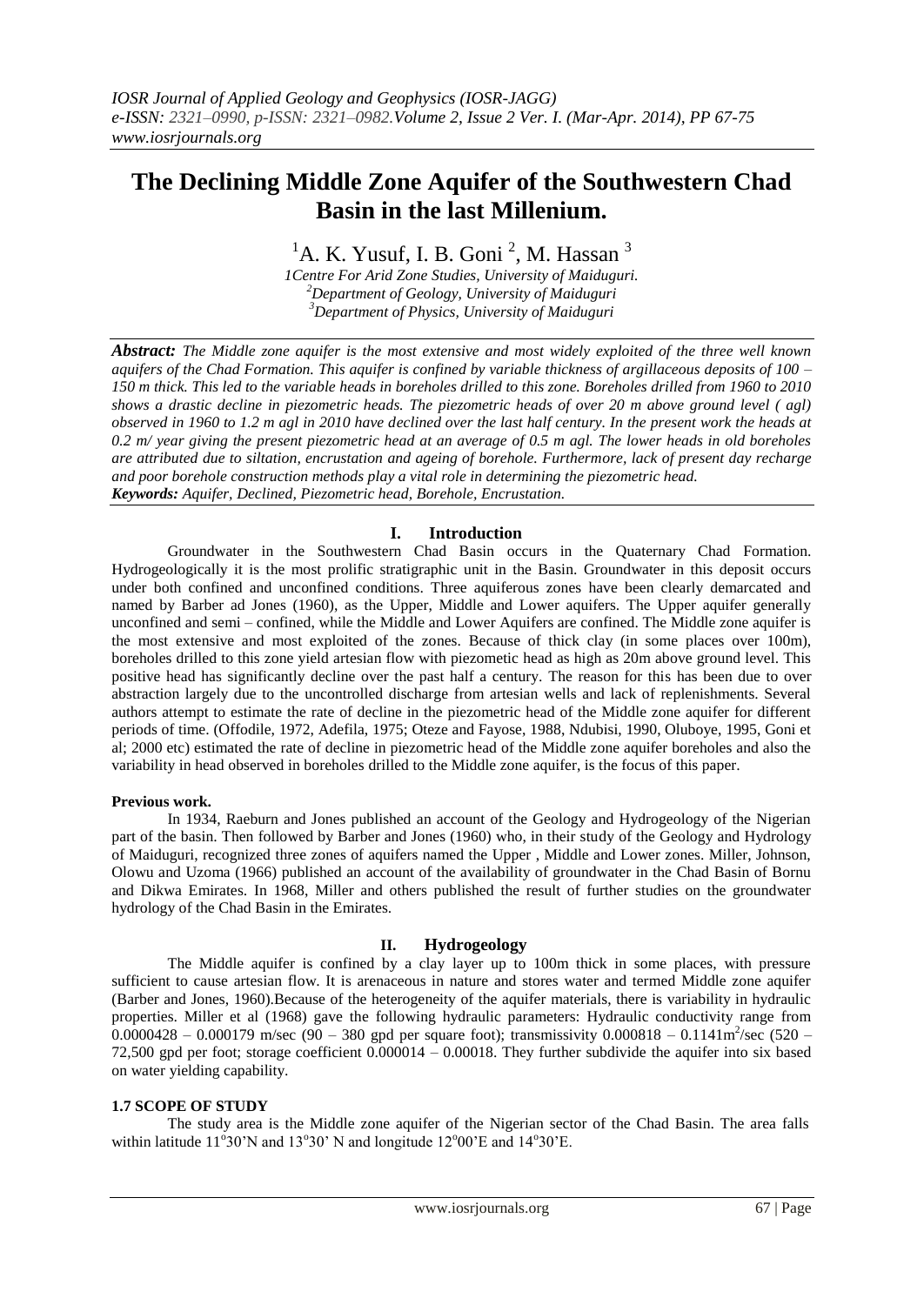# **The Declining Middle Zone Aquifer of the Southwestern Chad Basin in the last Millenium.**

<sup>1</sup>A. K. Yusuf, I. B. Goni<sup>2</sup>, M. Hassan<sup>3</sup>

*1Centre For Arid Zone Studies, University of Maiduguri. <sup>2</sup>Department of Geology, University of Maiduguri <sup>3</sup>Department of Physics, University of Maiduguri*

*Abstract: The Middle zone aquifer is the most extensive and most widely exploited of the three well known aquifers of the Chad Formation. This aquifer is confined by variable thickness of argillaceous deposits of 100 – 150 m thick. This led to the variable heads in boreholes drilled to this zone. Boreholes drilled from 1960 to 2010 shows a drastic decline in piezometric heads. The piezometric heads of over 20 m above ground level ( agl) observed in 1960 to 1.2 m agl in 2010 have declined over the last half century. In the present work the heads at 0.2 m/ year giving the present piezometric head at an average of 0.5 m agl. The lower heads in old boreholes are attributed due to siltation, encrustation and ageing of borehole. Furthermore, lack of present day recharge and poor borehole construction methods play a vital role in determining the piezometric head. Keywords: Aquifer, Declined, Piezometric head, Borehole, Encrustation.*

# **I. Introduction**

Groundwater in the Southwestern Chad Basin occurs in the Quaternary Chad Formation. Hydrogeologically it is the most prolific stratigraphic unit in the Basin. Groundwater in this deposit occurs under both confined and unconfined conditions. Three aquiferous zones have been clearly demarcated and named by Barber ad Jones (1960), as the Upper, Middle and Lower aquifers. The Upper aquifer generally unconfined and semi – confined, while the Middle and Lower Aquifers are confined. The Middle zone aquifer is the most extensive and most exploited of the zones. Because of thick clay (in some places over 100m), boreholes drilled to this zone yield artesian flow with piezometic head as high as 20m above ground level. This positive head has significantly decline over the past half a century. The reason for this has been due to over abstraction largely due to the uncontrolled discharge from artesian wells and lack of replenishments. Several authors attempt to estimate the rate of decline in the piezometric head of the Middle zone aquifer for different periods of time. (Offodile, 1972, Adefila, 1975; Oteze and Fayose, 1988, Ndubisi, 1990, Oluboye, 1995, Goni et al; 2000 etc) estimated the rate of decline in piezometric head of the Middle zone aquifer boreholes and also the variability in head observed in boreholes drilled to the Middle zone aquifer, is the focus of this paper.

## **Previous work.**

In 1934, Raeburn and Jones published an account of the Geology and Hydrogeology of the Nigerian part of the basin. Then followed by Barber and Jones (1960) who, in their study of the Geology and Hydrology of Maiduguri, recognized three zones of aquifers named the Upper , Middle and Lower zones. Miller, Johnson, Olowu and Uzoma (1966) published an account of the availability of groundwater in the Chad Basin of Bornu and Dikwa Emirates. In 1968, Miller and others published the result of further studies on the groundwater hydrology of the Chad Basin in the Emirates.

## **II. Hydrogeology**

The Middle aquifer is confined by a clay layer up to 100m thick in some places, with pressure sufficient to cause artesian flow. It is arenaceous in nature and stores water and termed Middle zone aquifer (Barber and Jones, 1960).Because of the heterogeneity of the aquifer materials, there is variability in hydraulic properties. Miller et al (1968) gave the following hydraulic parameters: Hydraulic conductivity range from  $0.0000428 - 0.000179$  m/sec (90 – 380 gpd per square foot); transmissivity  $0.000818 - 0.1141$ m<sup>2</sup>/sec (520 – 72,500 gpd per foot; storage coefficient 0.000014 – 0.00018. They further subdivide the aquifer into six based on water yielding capability.

## **1.7 SCOPE OF STUDY**

The study area is the Middle zone aquifer of the Nigerian sector of the Chad Basin. The area falls within latitude  $11^{\circ}30'$ N and  $13^{\circ}30'$  N and longitude  $12^{\circ}00'$ E and  $14^{\circ}30'$ E.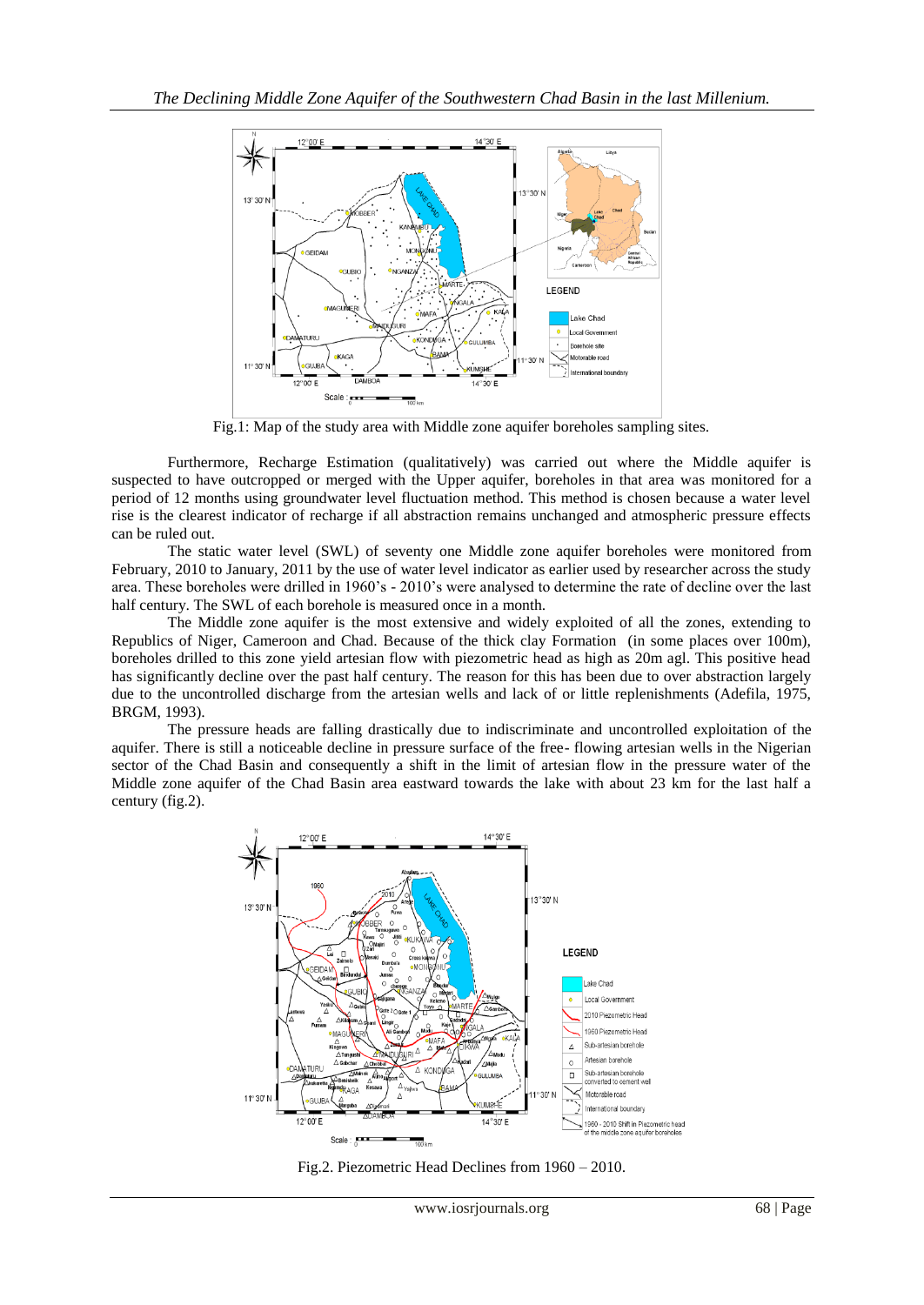

Fig.1: Map of the study area with Middle zone aquifer boreholes sampling sites.

Furthermore, Recharge Estimation (qualitatively) was carried out where the Middle aquifer is suspected to have outcropped or merged with the Upper aquifer, boreholes in that area was monitored for a period of 12 months using groundwater level fluctuation method. This method is chosen because a water level rise is the clearest indicator of recharge if all abstraction remains unchanged and atmospheric pressure effects can be ruled out.

The static water level (SWL) of seventy one Middle zone aquifer boreholes were monitored from February, 2010 to January, 2011 by the use of water level indicator as earlier used by researcher across the study area. These boreholes were drilled in 1960's - 2010's were analysed to determine the rate of decline over the last half century. The SWL of each borehole is measured once in a month.

The Middle zone aquifer is the most extensive and widely exploited of all the zones, extending to Republics of Niger, Cameroon and Chad. Because of the thick clay Formation (in some places over 100m), boreholes drilled to this zone yield artesian flow with piezometric head as high as 20m agl. This positive head has significantly decline over the past half century. The reason for this has been due to over abstraction largely due to the uncontrolled discharge from the artesian wells and lack of or little replenishments (Adefila, 1975, BRGM, 1993).

The pressure heads are falling drastically due to indiscriminate and uncontrolled exploitation of the aquifer. There is still a noticeable decline in pressure surface of the free- flowing artesian wells in the Nigerian sector of the Chad Basin and consequently a shift in the limit of artesian flow in the pressure water of the Middle zone aquifer of the Chad Basin area eastward towards the lake with about 23 km for the last half a century (fig.2).



Fig.2. Piezometric Head Declines from 1960 – 2010.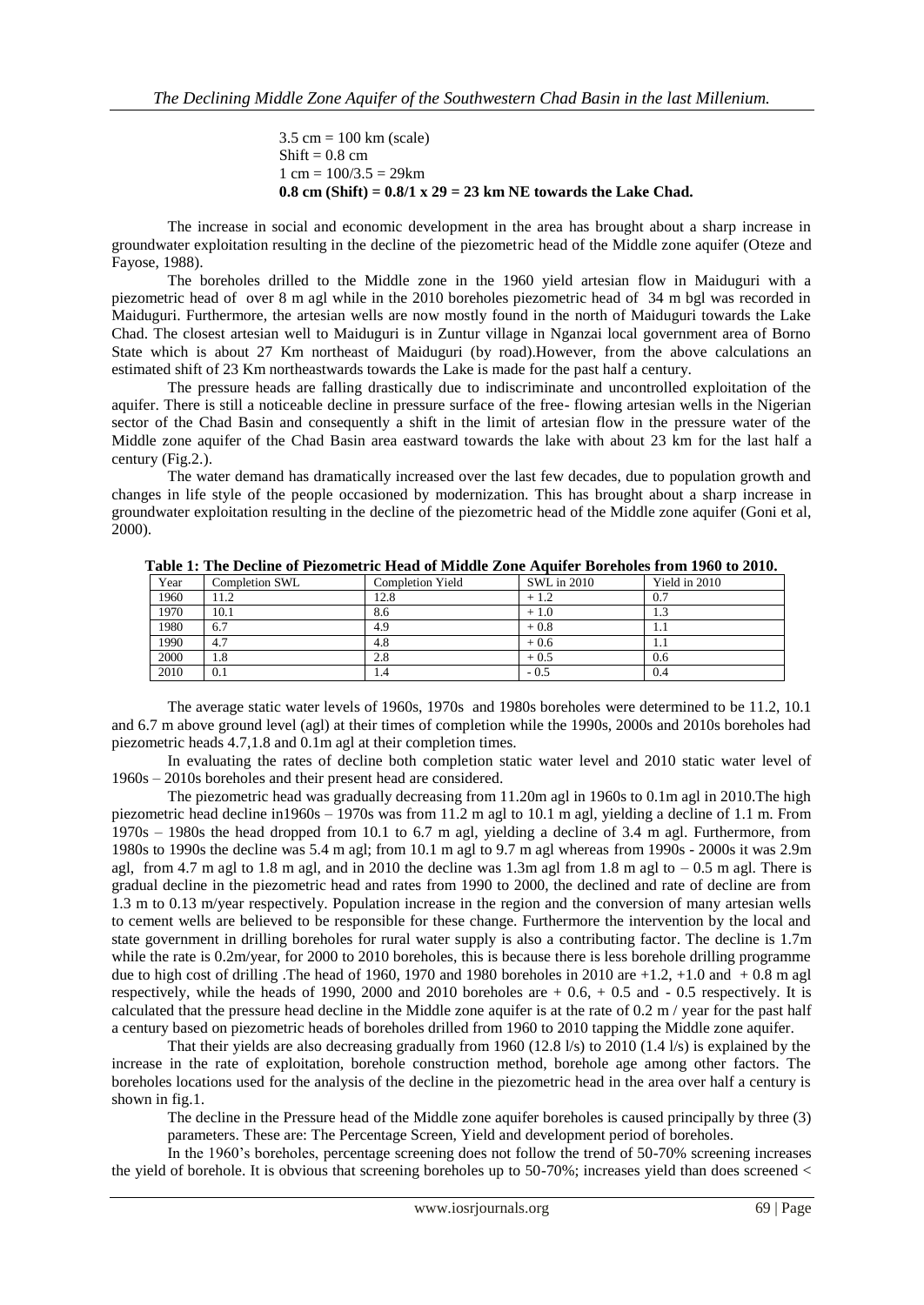$3.5 \text{ cm} = 100 \text{ km} \text{ (scale)}$  $Shift = 0.8$  cm  $1 \text{ cm} = 100/3.5 = 29 \text{ km}$ **0.8 cm (Shift) = 0.8/1 x 29 = 23 km NE towards the Lake Chad.**

The increase in social and economic development in the area has brought about a sharp increase in groundwater exploitation resulting in the decline of the piezometric head of the Middle zone aquifer (Oteze and Fayose, 1988).

The boreholes drilled to the Middle zone in the 1960 yield artesian flow in Maiduguri with a piezometric head of over 8 m agl while in the 2010 boreholes piezometric head of 34 m bgl was recorded in Maiduguri. Furthermore, the artesian wells are now mostly found in the north of Maiduguri towards the Lake Chad. The closest artesian well to Maiduguri is in Zuntur village in Nganzai local government area of Borno State which is about 27 Km northeast of Maiduguri (by road).However, from the above calculations an estimated shift of 23 Km northeastwards towards the Lake is made for the past half a century.

The pressure heads are falling drastically due to indiscriminate and uncontrolled exploitation of the aquifer. There is still a noticeable decline in pressure surface of the free- flowing artesian wells in the Nigerian sector of the Chad Basin and consequently a shift in the limit of artesian flow in the pressure water of the Middle zone aquifer of the Chad Basin area eastward towards the lake with about 23 km for the last half a century (Fig.2.).

The water demand has dramatically increased over the last few decades, due to population growth and changes in life style of the people occasioned by modernization. This has brought about a sharp increase in groundwater exploitation resulting in the decline of the piezometric head of the Middle zone aquifer (Goni et al, 2000).

| Year | <b>Completion SWL</b> | <b>Completion Yield</b> | SWL in 2010 | Yield in 2010 |
|------|-----------------------|-------------------------|-------------|---------------|
| 1960 | 11.2                  | 12.8                    | $+1.2$      | 0.7           |
| 1970 | 10.1                  | 8.6                     | $+1.0$      | 1.3           |
| 1980 | 6.7                   | 4.9                     | $+0.8$      | 1.1           |
| 1990 | 4.7                   | 4.8                     | $+0.6$      | 1.1           |
| 2000 | 1.8                   | 2.8                     | $+0.5$      | 0.6           |
| 2010 | 0.1                   | 1.4                     | $-0.5$      | 0.4           |

**Table 1: The Decline of Piezometric Head of Middle Zone Aquifer Boreholes from 1960 to 2010.**

The average static water levels of 1960s, 1970s and 1980s boreholes were determined to be 11.2, 10.1 and 6.7 m above ground level (agl) at their times of completion while the 1990s, 2000s and 2010s boreholes had piezometric heads 4.7,1.8 and 0.1m agl at their completion times.

In evaluating the rates of decline both completion static water level and 2010 static water level of 1960s – 2010s boreholes and their present head are considered.

The piezometric head was gradually decreasing from 11.20m agl in 1960s to 0.1m agl in 2010.The high piezometric head decline in1960s – 1970s was from 11.2 m agl to 10.1 m agl, yielding a decline of 1.1 m. From 1970s – 1980s the head dropped from 10.1 to 6.7 m agl, yielding a decline of 3.4 m agl. Furthermore, from 1980s to 1990s the decline was 5.4 m agl; from 10.1 m agl to 9.7 m agl whereas from 1990s - 2000s it was 2.9m agl, from 4.7 m agl to 1.8 m agl, and in 2010 the decline was 1.3m agl from 1.8 m agl to – 0.5 m agl. There is gradual decline in the piezometric head and rates from 1990 to 2000, the declined and rate of decline are from 1.3 m to 0.13 m/year respectively. Population increase in the region and the conversion of many artesian wells to cement wells are believed to be responsible for these change. Furthermore the intervention by the local and state government in drilling boreholes for rural water supply is also a contributing factor. The decline is 1.7m while the rate is 0.2m/year, for 2000 to 2010 boreholes, this is because there is less borehole drilling programme due to high cost of drilling .The head of 1960, 1970 and 1980 boreholes in 2010 are  $+1.2$ ,  $+1.0$  and  $+0.8$  m agl respectively, while the heads of 1990, 2000 and 2010 boreholes are  $+0.6$ ,  $+0.5$  and  $-0.5$  respectively. It is calculated that the pressure head decline in the Middle zone aquifer is at the rate of 0.2 m / year for the past half a century based on piezometric heads of boreholes drilled from 1960 to 2010 tapping the Middle zone aquifer.

That their yields are also decreasing gradually from 1960 (12.8  $1/s$ ) to 2010 (1.4  $1/s$ ) is explained by the increase in the rate of exploitation, borehole construction method, borehole age among other factors. The boreholes locations used for the analysis of the decline in the piezometric head in the area over half a century is shown in fig.1.

The decline in the Pressure head of the Middle zone aquifer boreholes is caused principally by three (3) parameters. These are: The Percentage Screen, Yield and development period of boreholes.

In the 1960's boreholes, percentage screening does not follow the trend of 50-70% screening increases the yield of borehole. It is obvious that screening boreholes up to 50-70%; increases yield than does screened <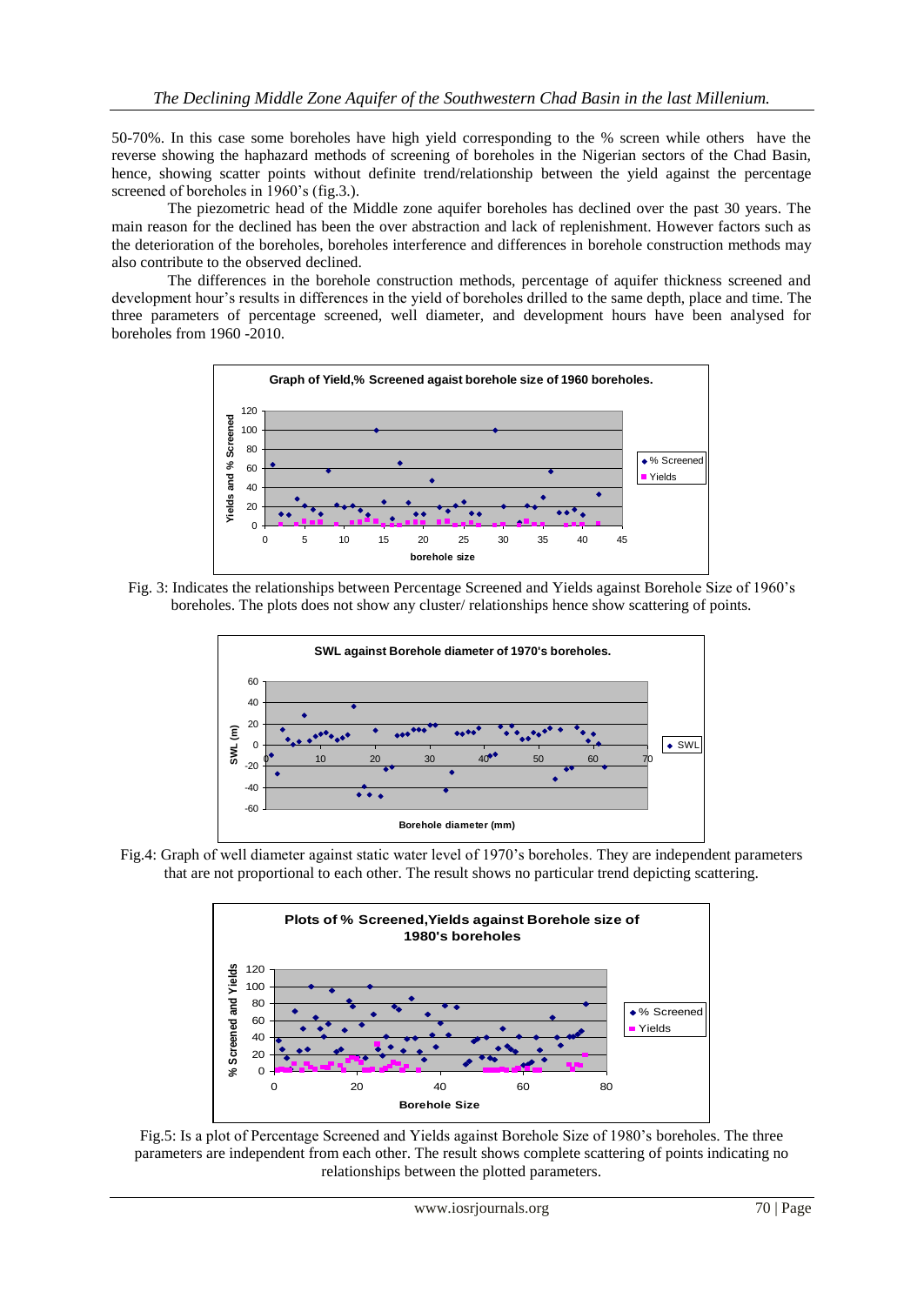50-70%. In this case some boreholes have high yield corresponding to the % screen while others have the reverse showing the haphazard methods of screening of boreholes in the Nigerian sectors of the Chad Basin, hence, showing scatter points without definite trend/relationship between the yield against the percentage screened of boreholes in 1960's (fig.3.).

The piezometric head of the Middle zone aquifer boreholes has declined over the past 30 years. The main reason for the declined has been the over abstraction and lack of replenishment. However factors such as the deterioration of the boreholes, boreholes interference and differences in borehole construction methods may also contribute to the observed declined.

The differences in the borehole construction methods, percentage of aquifer thickness screened and development hour's results in differences in the yield of boreholes drilled to the same depth, place and time. The three parameters of percentage screened, well diameter, and development hours have been analysed for boreholes from 1960 -2010.



Fig. 3: Indicates the relationships between Percentage Screened and Yields against Borehole Size of 1960's boreholes. The plots does not show any cluster/ relationships hence show scattering of points.



Fig.4: Graph of well diameter against static water level of 1970's boreholes. They are independent parameters that are not proportional to each other. The result shows no particular trend depicting scattering.



Fig.5: Is a plot of Percentage Screened and Yields against Borehole Size of 1980's boreholes. The three parameters are independent from each other. The result shows complete scattering of points indicating no relationships between the plotted parameters.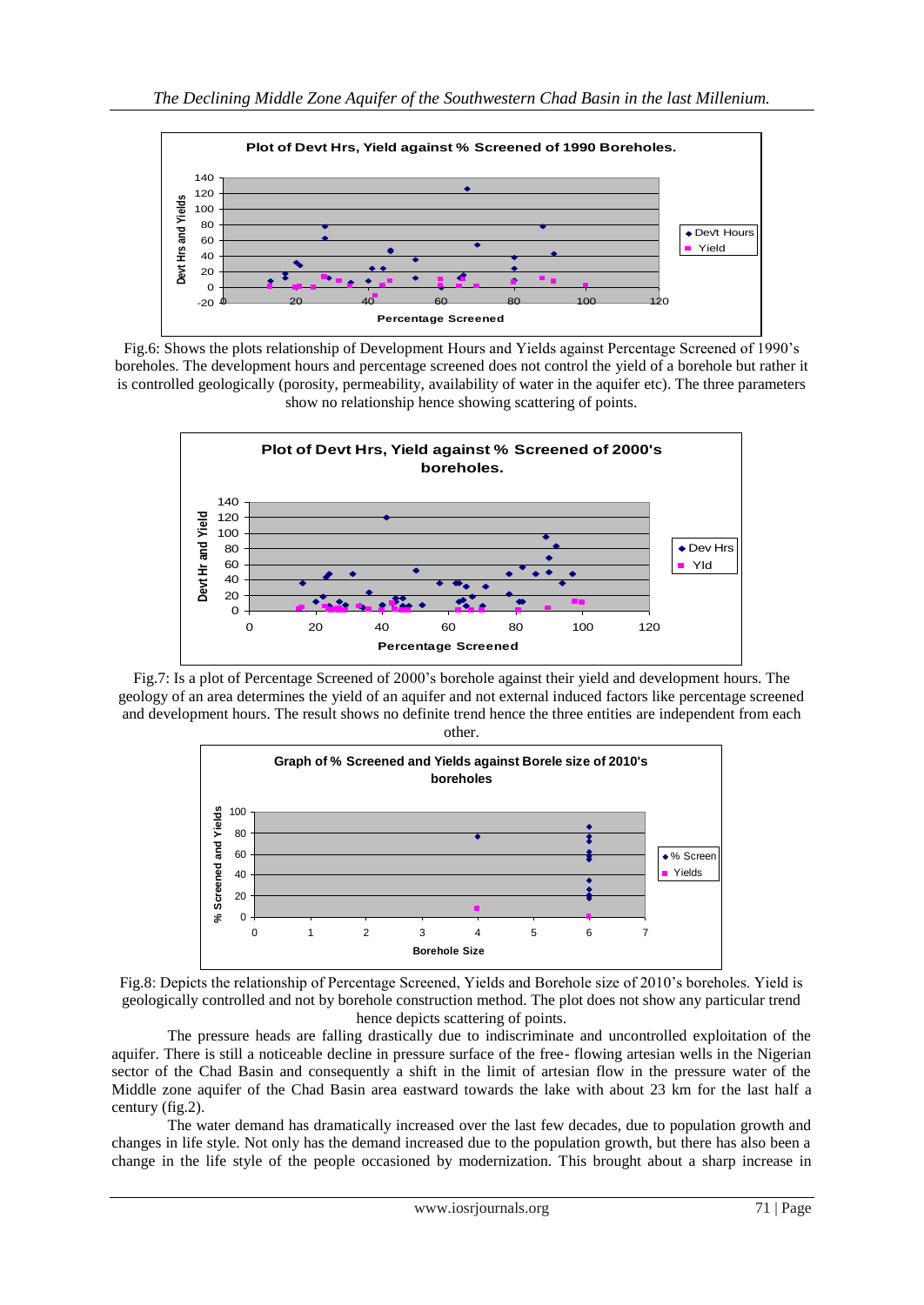

Fig.6: Shows the plots relationship of Development Hours and Yields against Percentage Screened of 1990's boreholes. The development hours and percentage screened does not control the yield of a borehole but rather it is controlled geologically (porosity, permeability, availability of water in the aquifer etc). The three parameters show no relationship hence showing scattering of points.



Fig.7: Is a plot of Percentage Screened of 2000's borehole against their yield and development hours. The geology of an area determines the yield of an aquifer and not external induced factors like percentage screened and development hours. The result shows no definite trend hence the three entities are independent from each other.





The pressure heads are falling drastically due to indiscriminate and uncontrolled exploitation of the aquifer. There is still a noticeable decline in pressure surface of the free- flowing artesian wells in the Nigerian sector of the Chad Basin and consequently a shift in the limit of artesian flow in the pressure water of the Middle zone aquifer of the Chad Basin area eastward towards the lake with about 23 km for the last half a century (fig.2).

The water demand has dramatically increased over the last few decades, due to population growth and changes in life style. Not only has the demand increased due to the population growth, but there has also been a change in the life style of the people occasioned by modernization. This brought about a sharp increase in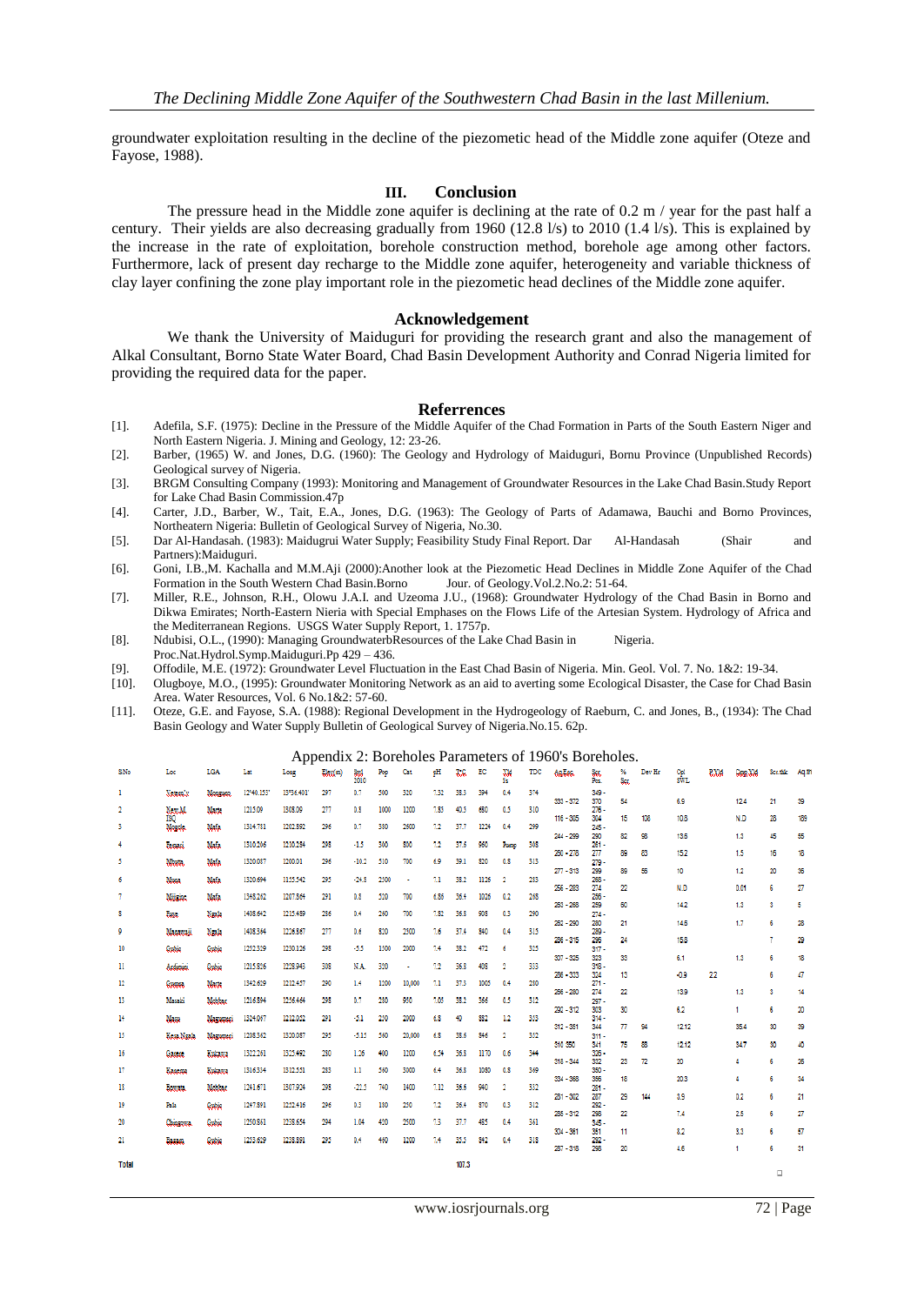groundwater exploitation resulting in the decline of the piezometic head of the Middle zone aquifer (Oteze and Fayose, 1988).

### **III. Conclusion**

The pressure head in the Middle zone aquifer is declining at the rate of 0.2 m / year for the past half a century. Their yields are also decreasing gradually from 1960 (12.8 l/s) to 2010 (1.4 l/s). This is explained by the increase in the rate of exploitation, borehole construction method, borehole age among other factors. Furthermore, lack of present day recharge to the Middle zone aquifer, heterogeneity and variable thickness of clay layer confining the zone play important role in the piezometic head declines of the Middle zone aquifer.

### **Acknowledgement**

We thank the University of Maiduguri for providing the research grant and also the management of Alkal Consultant, Borno State Water Board, Chad Basin Development Authority and Conrad Nigeria limited for providing the required data for the paper.

#### **Referrences**

- [1]. Adefila, S.F. (1975): Decline in the Pressure of the Middle Aquifer of the Chad Formation in Parts of the South Eastern Niger and North Eastern Nigeria. J. Mining and Geology, 12: 23-26.
- [2]. Barber, (1965) W. and Jones, D.G. (1960): The Geology and Hydrology of Maiduguri, Bornu Province (Unpublished Records) Geological survey of Nigeria.
- [3]. BRGM Consulting Company (1993): Monitoring and Management of Groundwater Resources in the Lake Chad Basin.Study Report for Lake Chad Basin Commission.47p
- [4]. Carter, J.D., Barber, W., Tait, E.A., Jones, D.G. (1963): The Geology of Parts of Adamawa, Bauchi and Borno Provinces, Northeatern Nigeria: Bulletin of Geological Survey of Nigeria, No.30.
- [5]. Dar Al-Handasah. (1983): Maidugrui Water Supply; Feasibility Study Final Report. Dar Al-Handasah (Shair and Partners):Maiduguri.
- [6]. Goni, I.B.,M. Kachalla and M.M.Aji (2000):Another look at the Piezometic Head Declines in Middle Zone Aquifer of the Chad Formation in the South Western Chad Basin. Borno
- [7]. Miller, R.E., Johnson, R.H., Olowu J.A.I. and Uzeoma J.U., (1968): Groundwater Hydrology of the Chad Basin in Borno and Dikwa Emirates; North-Eastern Nieria with Special Emphases on the Flows Life of the Artesian System. Hydrology of Africa and the Mediterranean Regions. USGS Water Supply Report, 1. 1757p.
- [8]. Ndubisi, O.L., (1990): Managing GroundwaterbResources of the Lake Chad Basin in Nigeria. Proc.Nat.Hydrol.Symp.Maiduguri.Pp 429 – 436.
- [9]. Offodile, M.E. (1972): Groundwater Level Fluctuation in the East Chad Basin of Nigeria. Min. Geol. Vol. 7. No. 1&2: 19-34.
- [10]. Olugboye, M.O., (1995): Groundwater Monitoring Network as an aid to averting some Ecological Disaster, the Case for Chad Basin Area. Water Resources, Vol. 6 No.1&2: 57-60.
- [11]. Oteze, G.E. and Fayose, S.A. (1988): Regional Development in the Hydrogeology of Raeburn, C. and Jones, B., (1934): The Chad Basin Geology and Water Supply Bulletin of Geological Survey of Nigeria.No.15. 62p.

#### Appendix 2: Boreholes Parameters of 1960's Boreholes.

|                |                 |                |           | r r        |        |             |      |        |      |       |      |                         |     |              |                |           |        |            |      |          |          |      |
|----------------|-----------------|----------------|-----------|------------|--------|-------------|------|--------|------|-------|------|-------------------------|-----|--------------|----------------|-----------|--------|------------|------|----------|----------|------|
| SNo            | Loc             | LGA            | Lat       | Long       | Lkx(m) | Sed<br>2010 | Pop  | Cat    | pН   | T.C   | EC   | XW<br>1k                | TDC | <b>Autor</b> | Sec.<br>Pos.   | %<br>Scr. | Dev Hr | Cal<br>SWL | P.XM | Cong, VM | Ser.thic | Aq.t |
| 1              | <b>Maturaly</b> | Monagano,      | 12940.153 | 13°36.401' | 297    | 0.7         | 500  | 320    | 7.32 | 38.3  | 394  | 0.4                     | 374 | $333 - 372$  | $349 -$<br>370 | 54        |        | 6.9        |      | 12.4     | 21       | 39   |
| $\overline{2}$ | New M.          | Marte          | 1215.09   | 1308.09    | 277    | 0.8         | 1000 | 1200   | 7.85 | 40.5  | 680  | 0.5                     | 310 |              | $276 -$        |           |        |            |      |          |          |      |
| 3              | ISQ.<br>Mozzok. | Mafa           | 1314.781  | 1202.892   | 296    | 0.7         | 380  | 2600   | 7.2  | 37.7  | 1224 | 0.4                     | 299 | $116 - 305$  | 304<br>$245 -$ | 15        | 108    | 10.8       |      | N.D      | 28       | 189  |
| $\overline{4}$ | <b>Econom</b>   | Mafa           | 1310.206  | 1210.284   | 298    | $-1.5$      | 300  | 800    | 7.2  | 37.6  | 960  | Pomp                    | 308 | $244 - 299$  | 200<br>$261 -$ | 82        | 98     | 13.6       |      | 1.3      | 45       | 55   |
|                |                 |                | 1320.087  | 1200.01    | 296    | $-10.2$     | 510  |        | 6.9  | 39.1  | 820  | 0.8                     | 313 | $260 - 278$  | 277            | 89        | 83     | 15.2       |      | 1.5      | 16       | 18   |
| 5              | Mosta.          | Mafa           |           |            |        |             |      | 700    |      |       |      |                         |     | $277 - 313$  | $279 -$<br>299 | 89        | 56     | 10         |      | 12       | 20       | 35   |
| 6              | Masa.           | Mafa           | 1320.694  | 1155.542   | 295    | $-24.8$     | 2500 | ٠      | 7.1  | 38.2  | 1126 | $\overline{2}$          | 283 | $256 - 283$  | $268 -$<br>274 | 22        |        | N.D        |      | 0.01     | 6        | 27   |
| 7              | Mitsine,        | Mafa           | 1348.262  | 1207.864   | 291    | 0.8         | 520  | 700    | 6.86 | 36.4  | 1026 | 0.2                     | 268 | $263 - 268$  | $256 -$<br>259 | 60        |        | 14.2       |      | 1.3      | 3        | 5    |
| s              | <b>Date</b>     | Naala          | 1408.642  | 1215.489   | 286    | 0.4         | 260  | 700    | 7.82 | 36.8  | 908  | 0.3                     | 290 |              | $274 -$        |           |        |            |      |          |          |      |
| 9              | Magaxas         | Naah           | 1408.364  | 1226.867   | 277    | 0.6         | 820  | 2500   | 7.6  | 37.4  | 840  | 0.4                     | 315 | $262 - 290$  | 280<br>$200 -$ | 21        |        | 14.6       |      | 1.7      | 6        | 28   |
| 10             | Gubie           | Gubie          | 1252.329  | 1230.126   | 298    | $-5.5$      | 1500 | 2000   | 7.4  | 38.2  | 472  | 6                       | 325 | $286 - 315$  | 295<br>$317 -$ | 24        |        | 15.8       |      |          | 7        | 29   |
|                |                 |                |           |            |        |             |      |        |      |       |      |                         |     | $307 - 325$  | 323            | 33        |        | 6.1        |      | 1.3      | 6        | 18   |
| п              | Archiviti       | Gubio          | 1215.826  | 1228.943   | 308    | N.A.        | 320  | ٠      | 72   | 36.8  | 403  | $\overline{\mathbf{2}}$ | 333 | 286 - 333    | $318 -$<br>324 | 13        |        | $-0.9$     | 22   |          | 6        | 47   |
| 12             | Guasa           | Marte          | 1342.629  | 1212.457   | 290    | 1.4         | 1200 | 10,000 | 7.1  | 37.3  | 1005 | 0.4                     | 280 | $266 - 280$  | $271 -$<br>274 | 22        |        | 13.9       |      | 1.3      | -3       | 14   |
| 13             | Masaki          | Mobbar         | 1216.894  | 1256.464   | 298    | 0.7         | 280  | 950    | 7.05 | 38.2  | 366  | 0.5                     | 312 | 292 - 312    | $297 -$        |           |        |            |      | ۰        |          |      |
| 14             | Masu            | Magazoni       | 1324.067  | 1212.052   | 291    | $-5.1$      | 250  | 2000   | 6.8  | 40    | 882  | 1.2                     | 353 |              | 303<br>$314 -$ | 30        |        | 6.2        |      |          | 6        | 20   |
| 15             | Kosa Ngala      | Magazoni       | 1208.362  | 1320.087   | 295    | $-5.15$     | 560  | 20,000 | 6.8  | 38.6  | 846  | $\mathbf{2}$            | 352 | $312 - 351$  | 344<br>$311 -$ | 77        | 94     | 12.12      |      | 35.4     | 30       | 39   |
| 16             |                 | <b>Bukayes</b> | 1322.261  | 1325.492   | 280    | 1.26        | 400  | 1200   | 6.54 | 36.8  | 1170 | 0.6                     | 344 | 310 350      | 341<br>$326 -$ | 75        | 88     | 12.12      |      | 34.7     | 30       | 40   |
|                | Gascoc          |                |           |            |        |             |      |        |      |       |      |                         |     | $318 - 344$  | 332            | 23        | 72     | 20         |      | 4        | 6        | 26   |
| 17             | <b>Basema</b>   | <b>Bukaxa</b>  | 1316.334  | 1312.551   | 283    | п           | 560  | 3000   | 6.4  | 36.8  | 1080 | 0.8                     | 369 | 334 - 368    | $350 -$<br>356 | 18        |        | 20.3       |      | ٠        | 6        | 34   |
| 18             | Bostata.        | Mobbar         | 1241.671  | 1307.924   | 298    | $-22.5$     | 740  | 1400   | 7.12 | 36.6  | 940  | $\mathbf{2}$            | 332 | 281 - 302    | $281 -$<br>287 | 29        | 144    | 3.9        |      | 0.2      | 6        | 21   |
| 19             | Pala            | Gubic          | 1247.891  | 1252.416   | 296    | 0.3         | 180  | 250    | 7.2  | 36.4  | 870  | 0.3                     | 312 |              | $292 -$        |           |        |            |      |          |          |      |
| 20             | Chingcora       | Gulán          | 1250.861  | 1238.654   | 294    | 1.04        | 420  | 2500   | 73   | 37.7  | 485  | 0.4                     | 361 | $285 - 312$  | 298<br>$345 -$ | 22        |        | 7.4        |      | 2.5      | 6        | 27   |
| 21.            | Bazam.          | Gubic          | 1253.629  | 1238.891   | 295    | 0.4         | 460  | 1200   | 7.4  | 35.5  | 842  | 0.4                     | 318 | $304 - 361$  | 351<br>$292 -$ | 11        |        | 8.2        |      | 3.3      | 6        | 57   |
|                |                 |                |           |            |        |             |      |        |      |       |      |                         |     | $287 - 318$  | 298            | 20        |        | 4.6        |      | 1        | 6        | 31   |
| Total          |                 |                |           |            |        |             |      |        |      | 107.3 |      |                         |     |              |                |           |        |            |      |          |          |      |
|                |                 |                |           |            |        |             |      |        |      |       |      |                         |     |              |                |           |        |            |      |          | $\Box$   |      |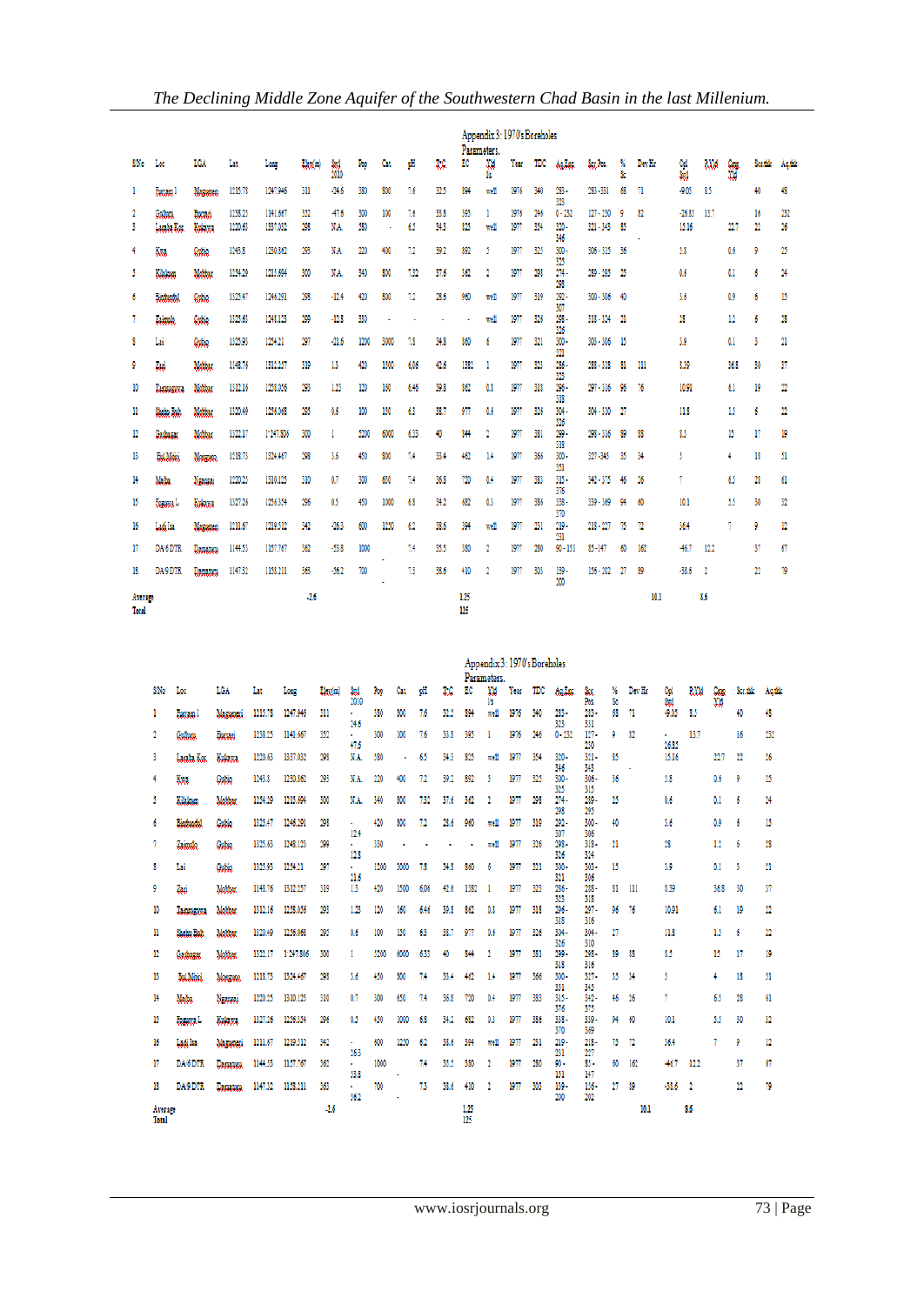|                  |                       | Appendix 3: 1970's Boreholes<br>Parameters. |                    |                      |            |                 |            |          |           |              |            |            |              |            |                             |                            |         |              |                   |              |            |                               |                         |
|------------------|-----------------------|---------------------------------------------|--------------------|----------------------|------------|-----------------|------------|----------|-----------|--------------|------------|------------|--------------|------------|-----------------------------|----------------------------|---------|--------------|-------------------|--------------|------------|-------------------------------|-------------------------|
| SNo              | Lœ                    | LGA                                         | Lat                | Long                 | Lkx(m)     | Sed<br>2010     | Rop        | Cat.     | рH        | T.C          | EC         | XW<br>15.  | Year         | TDC        | Aulto.                      | Seg Pos.                   | X<br>Šc | Dev Hr       | 엞                 | <b>P.XXI</b> | Coga<br>XM | Scr.fdr                       | Aq.tdr                  |
| 1                | <b>Eucram 1</b>       | Maganusi                                    | 1215.78            | 1247.946             | 311        | $-24.6$         | 380        | 800      | 7.6       | 32.5         | 894        | well       | 1976         | 340        | 283 -<br>323                | 283-331                    | 68      | 71           | $-9.05$           | 85           |            | 40                            | 48                      |
| 2<br>3           | Gulhau<br>Lacaba Kos. | Busari<br>Kukawa                            | 1238.25<br>1220.63 | 1141.667<br>1337.032 | 352<br>298 | $-47.6$<br>N.A. | 300<br>580 | 100<br>٠ | 7.6<br>65 | 33.8<br>34.3 | 395<br>825 | I.<br>well | 1976<br>1977 | 246<br>354 | $0 - 232$<br>$320 -$<br>346 | $127 - 230$<br>$321 - 343$ | 9<br>85 | 82           | $-26.85$<br>15.16 | 13.7         | 22.7       | 16<br>$\overline{\mathbf{2}}$ | 232<br>26               |
| 4                | Kwa                   | Gubie                                       | 1243.8             | 1230.862             | 293        | N.A.            | 220        | 400      | 72        | 39.2         | 892        | 5          | 1977         | 325        | $300 -$<br>325              | 306 - 315                  | 36      |              | 5,8               |              | 0.6        | 9                             | 25                      |
| 5                | Kikken                | Mobbar                                      | 1254.29            | 1215.694             | 300        | N.A.            | 340        | 800      | 732       | 37.6         | 362        | 2          | 1977         | 298        | $274 -$<br>298              | $289 - 295$                | 25      |              | 0.6               |              | 0.1        | 6                             | 24                      |
| 6                | <b>Bindundul</b>      | Cubic                                       | 1325.47            | 1246.291             | 298        | $-12.4$         | 420        | 800      | 72        | 28.6         | 960        | well       | 1977         | 319        | $292 -$<br>307              | 300 - 306                  | 40      |              | 3.6               |              | 0.9        | 6                             | 15                      |
| 7                | Zaimolo.              | Gubie                                       | 1325.63            | 1248.123             | 299        | $-12.8$         | 330        |          |           |              |            | well       | 1977         | 326        | $298 -$<br>326              | 318 - 324                  | -21     |              | 28                |              | 12         | 6                             | 28                      |
| 8                | Lai                   | Cubic                                       | 1325.93            | 1254.21              | 297        | $-21.6$         | 1200       | 3000     | 73        | 34,8         | 860        | 6          | 1977         | 321        | $300 -$<br>321              | 303 - 306                  | 15      |              | 3.9               |              | 0.1        | 3                             | 21                      |
| 9                | Zaci                  | Mobbar                                      | 1148.76            | 1312.257             | 319        | 13              | 420        | 1500     | 6.06      | 42.6         | 1382       |            | 1977         | 323        | $286 -$                     | $288 - 318$                | 81      | $\mathbf{m}$ | 8.39              |              | 36.8       | 30                            | 37                      |
| 10               | <b>Tacoosock</b>      | Mobbas                                      | 1312.16            | 1258.056             | 293        | 1.23            | 120        | 160      | 6.46      | 39.8         | 862        | 0.8        | 1977         | 318        | 323<br>$296 -$<br>318       | $297 - 316$                | 96      | 76           | 10.91             |              | 6.1        | 19                            | $\overline{\mathbf{2}}$ |
| п                | Shahn Bah             | Mobbar                                      | 1320.49            | 1256.068             | 295        | 0.6             | 100        | 150      | 63        | 38.7         | 977        | 0.6        | 1977         | 326        | $304 -$                     | $304 - 310$                | -27     |              | 11.8              |              | 15         | 6                             | $\overline{\mathbf{2}}$ |
| 12               | Gasbagac              | Mobbar                                      | 1322.17            | 1:247.806            | 300        |                 | 5200       | 6000     | 633       | 40           | 844        | 2          | 1977         | 381        | 326<br>$299 -$<br>318       | $298 - 316$                | 89      | 88           | 85                |              | 15         | 17                            | 19                      |
| 13               | Bol.Moin              | Monasche                                    | 1218.73            | 1324.467             | 298        | 3.6             | 450        | 800      | 7.4       | 33.4         | 462        | 1.4        | 1977         | 366        | $300 -$<br>351              | 327-345                    | 35      | 34           | 5                 |              | 4          | 18                            | 51                      |
| 14               | Mada.                 | Nassai                                      | 1220.25            | 1310.125             | 310        | 0.7             | 300        | 650      | 7.4       | 36.8         | 720        | 0.4        | 1977         | 383        | $315 -$<br>376              | 342 - 375                  | 46      | 26           | 7                 |              | 65         | 28                            | 61                      |
| 15               | <b>Departs</b> L      | Kulawa                                      | 1327.26            | 1256.354             | 296        | 05              | 450        | 1000     | 68        | 34.2         | 682        | 0.3        | 1977         | 386        | 338 -<br>370                | 339 - 369                  | 94      | 60           | 10.1              |              | 55         | 30                            | 32                      |
| 16               | مناشما                | Maxwaaci                                    | 1211.67            | 1219.512             | 342        | $-26.3$         | 600        | 1250     | 62        | 38.6         | 394        | well       | 1977         | 231        | $219 -$                     | $218 - 227$                | 75      | 72           | 36.4              |              | 7          | 9                             | 12                      |
| 17               | DA/6 DTR              | Damatum                                     | 1144.53            | 1157.767             | 362        | $-53.8$         | 1000       |          | 74        | 35.5         | 380        | 2          | 1977         | 280        | 231<br>$90 - 151$           | $$5 - 147$                 | 60      | 162          | $-46.7$           | 12.2         |            | 37                            | 67                      |
| 18               | DA9 DTR               | <b>Damaturu</b>                             | 1147.32            | 1158.211             | 363        | $-56.2$         | 700        | ٠        | 73        | 38.6         | 410        | 2          | 1977         | 303        | 139.<br>200                 | $156 - 202$                | η       | 89           | $-38.6$           | $\mathbf{r}$ |            | 22                            | 79                      |
| Average<br>Total |                       |                                             |                    |                      | $-2.6$     |                 |            |          |           |              | 125<br>125 |            |              |            |                             |                            |         | 10.1         |                   | 8.6          |            |                               |                         |

|                  |                   |                |         |           |        |              |      |      |      |      |      | Parameters. | Appendix 3: 1970's Boreholes |     |                  |                |          |        |                |                |      |          |        |
|------------------|-------------------|----------------|---------|-----------|--------|--------------|------|------|------|------|------|-------------|------------------------------|-----|------------------|----------------|----------|--------|----------------|----------------|------|----------|--------|
| S/No             | Loc               | LGA            | Lat     | Long      | Lkx(m) | Stol<br>2010 | Pop  | Cat  | pП   | T.C  | EC   | XM<br>1s    | Year                         | TDC | Aultac           | åк.<br>Ñх      | Ŋ,<br>s. | Dev Hr | Сpl<br>Sad     | <b>P.XM</b>    | W    | Sec.thle | Aqtile |
|                  | <b>Eucopa</b> 1   | Magazuni       | 1215.78 | 1247.946  | 311    |              | 380  | 800  | 7.6  | 32.5 | 894  | well        | 1976                         | 340 | $283 -$          | 283 -          | 68       | 71     | $-9.05$        | 85             |      | 40       | 48     |
| 2                | Gullucu.          | Bucsaci        | 1238.25 | 1141.667  | 352    | 24.6<br>×.   | 300  | 100  | 7.6  | 33.8 | 395  |             | 1976                         | 246 | 323<br>$0 - 232$ | 331<br>$127 -$ | 9        | 82     | ٠              | 13.7           |      | 16       | 232    |
| 3.               | Lacaba Kos.       | Kukawa         | 1220.63 | 1337.032  | 298    | 47.6<br>N.A. | 580  | ٠    | 65   | 34.3 | 825  | well        | 1977                         | 354 | $320 -$          | 230<br>$321 -$ | 85       |        | 26.85<br>15.16 |                | 22.7 | 22       | 26     |
| 4                | Kха               | Gubie          | 1243.8  | 1230.862  | 293    | N.A.         | 220  | 400  | 12   | 39.2 | 892  | 5           | 1977                         | 325 | 346<br>$300 -$   | 343<br>$306 -$ | 36       |        | 53             |                | 0.6  | 9        | 25     |
| 5                | Kilakum           | Mobbar         | 1254.29 | 1215.694  | 300    | N.A.         | 340  | 800  | 7.32 | 37.6 | 362  | 2           | 1977                         | 298 | 325<br>274.      | 315<br>$289 -$ | 25       |        | 0.6            |                | 0.1  | 6        | 24     |
| 6                | <b>Hinducatul</b> | Cubic          | 1325.47 | 1246.291  | 298    | ٠            | 420  | 800  | 72   | 28.6 | 960  | well        | 1977                         | 319 | 298<br>$292 -$   | 295<br>$300 -$ | 40       |        | 3.6            |                | 0.9  | 6        | 15     |
| 7                | Zaimalo           | Cubic          | 1325.63 | 1248.123  | 299    | 12.4<br>¥.   | 330  |      |      |      | ٠    | we‼         | 1977                         | 326 | 307<br>298 -     | 306<br>$318 -$ | 21       |        | 28             |                | 12   | 6        | 28     |
| 8                | Lai               | Gubio          | 1325.93 | 1254.21   | 297    | 12.8         | 1200 | 3000 | 7,8  | 34,8 | 860  | 6           | 1977                         | 321 | 326<br>$300 -$   | 324<br>$303 -$ | 15       |        | 3.9            |                | 0.1  | 3        | 21     |
| 9                | Zari              | Mobbar         | 1148.76 | 1312.257  | 319    | 21.6<br>13   | 420  | 1500 | 6,06 | 42.6 | 1382 |             | 1977                         | 323 | 321<br>286-      | 306<br>288 -   | 81       | ш      | 8.39           |                | 36.8 | 30       | 37     |
| 10               | Тарадарод         | Mobbar         | 1312.16 | 1258.056  | 293    | 1.23         | 120  | 160  | 6.46 | 39.8 | 862  | 0.8         | 1977                         | 318 | 323<br>296-      | 318<br>$297 -$ | 96       | 76     | 10.91          |                | 6.1  | 19       | 22     |
| п                | Shehn Balt        | Mobbar         | 1320.49 | 1256.068  | 295    | 0.6          | 100  | 150  | 63   | 38.7 | 977  | 0.6         | 1977                         | 326 | 318<br>304-      | 316<br>$304 -$ | η        |        | 11.8           |                | 15   | 6        | 22     |
| 12               | Gasbagag          | Mobbar         | 1322.17 | 1:247.806 | 300    | 1            | 5200 | 6000 | 633  | 40   | 844  | 2           | 1977                         | 381 | 326<br>299 -     | 310<br>298 -   | 89       | 88     | 85             |                | 15   | 17       | 19     |
| 13               | <b>Bal</b> Maki   | <b>Monacon</b> | 1218.73 | 1324.467  | 298    | 3.6          | 450  | 800  | 7.4  | 33.4 | 462  | 14          | 1977                         | 366 | 318<br>300-      | 316<br>$327 -$ | 35       | 34     | 5              |                | 4    | 18       | 51     |
| 14               | Mada              | Naanai         | 1220.25 | 1310.125  | 310    | 0.7          | 300  | 650  | 7.4  | 36.8 | 720  | 0.4         | 1977                         | 383 | 351<br>$315 -$   | 345<br>$342 -$ | 46       | 26     | 7              |                | 65   | 28       | 61     |
| 15               | <b>Januara L</b>  | Kukawa         | 1327.26 | 1256.354  | 296    | 0.5          | 450  | 1000 | 68   | 34.2 | 682  | 0.3         | 1977                         | 386 | 376<br>338 -     | 375<br>339 -   | 94       | 60     | 10.1           |                | 55   | 30       | 32     |
| 16               | Ladi Isa          | Magazuni       | 1211.67 | 1219.512  | 342    | ٠            | 600  | 1250 | 62   | 38.6 | 394  | well        | 1977                         | 231 | 370<br>$219 -$   | 369<br>$218 -$ | 75       | 72     | 36.4           |                | 1    | 9        | 12     |
| 17               | DA/6 DTR          | Damaturu.      | 1144.53 | 1157.767  | 362    | 26.3<br>¥.   | 1000 |      | 7.4  | 35.5 | 380  | 2           | 1977                         | 280 | 231<br>90 -      | 227<br>85.     | 60       | 162    | $-46.7$        | 12.2           |      | 37       | 67     |
| 18               | DA9 DTR           | Damatum        | 1147.32 | 1158.211  | 363    | 53.8<br>¥.   | 700  |      | 73   | 38.6 | 410  | 2           | 1977                         | 303 | 151<br>$139 -$   | 147<br>$156 -$ | η        | 89     | $-38.6$        | $\overline{2}$ |      | 22       | 79     |
|                  |                   |                |         |           | $-2.6$ | 562          |      |      |      |      | 1.25 |             |                              |     | 200              | 202            |          | 10.1   |                | 8.6            |      |          |        |
| Average<br>Total |                   |                |         |           |        |              |      |      |      |      | 125  |             |                              |     |                  |                |          |        |                |                |      |          |        |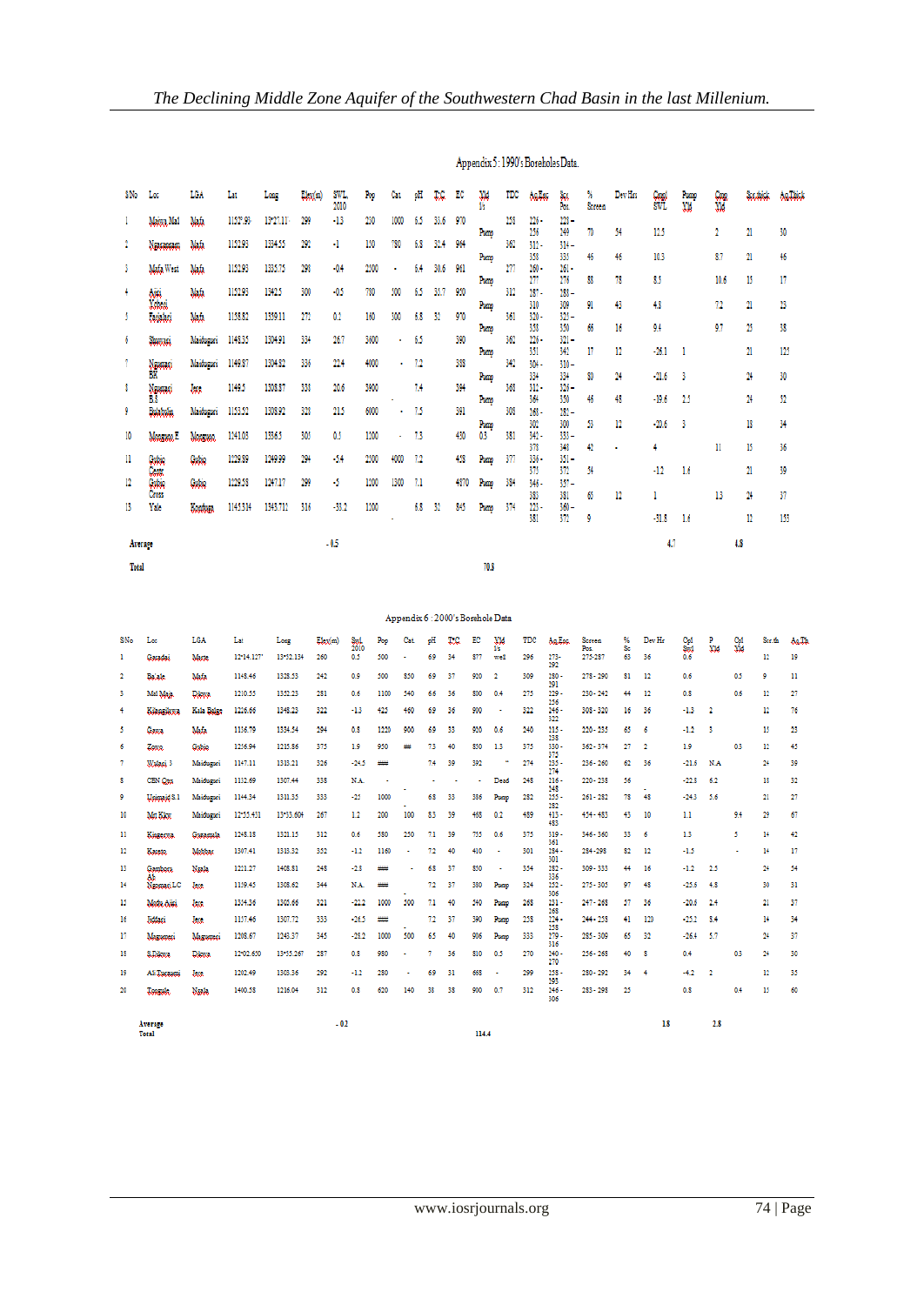| SNo          | Loc                | LCA       | Lat      | Long           | Lkx(m)   | SWL.<br>2010                                | Rи    | Cat. | pЩ              | IJ.            | EC           | XM<br>l's                         | TDC | Autos          | Sa<br>Pos             | X<br>Screen | Dev Hrs    | Cool<br>SWL   | Pran<br>XM. | W      | Section.      | Auditor |
|--------------|--------------------|-----------|----------|----------------|----------|---------------------------------------------|-------|------|-----------------|----------------|--------------|-----------------------------------|-----|----------------|-----------------------|-------------|------------|---------------|-------------|--------|---------------|---------|
|              | Maissa Mai         | Mafa      | 1152°.93 | 13-27.11       | 299      | -13                                         | 230   | 1000 | 65              | 33.6           | 970          |                                   | 258 | 226-<br>256    | 228-<br>249           | 70          | 54         | 12.5          |             | 2      | 21            | 30      |
| 2            | Ngagamam           | Mafa      | 1152.95  | 1334.55        | 292      | 4                                           | 150   | 780  | 68              | 32.4           | 964          | Pomp                              | 362 | $312 -$        | $314 -$               |             |            |               |             |        |               |         |
| 3            | Mafa West          | Mafa      | 1152.95  | 1335.75        | 298      | $-0.4$                                      | 2500  |      | 64              | 30.6           | 961          | Poazo                             | m   | 358<br>$260 -$ | 335<br>$261 -$        | 46          | 46         | 10.3          |             | 87     | 21            | 46      |
| 4            | Aiki               | Mafa      | 1152.93  | 1342.5         | 300      | $-0.5$                                      | 780   | 500  | 65              | 35.7           | 950          | Pong                              | 312 | 277<br>$287 -$ | 276<br>$288 -$        | 88          | 78         | 85            |             | 10.6   | 15            | 17      |
| 5            | Vodici<br>Unislati | Mafa      | 1158.82  | 1359.11        | $\eta_2$ | 0.2                                         | 160   | 300  | 68              | 32             | 970          | Pozno                             | 361 | 310<br>320-    | 309<br>$325 -$        | 91          | 43         | 4,8           |             | 72     | 21            | 23      |
|              |                    |           | 1148.35  | 1304.91        | 334      | 26.7                                        | 3600  | ×,   | 65              |                | 390          | Puano                             | 362 | 358<br>226-    | 350<br>$321 -$        | 66          | 16         | 9.4           |             | 9.7    | 25            | 38      |
| 6            | <b>Summer</b>      | Maiduguri |          |                |          |                                             |       |      |                 |                |              | Puan                              |     | 351            | 342                   | 17          | 12         | $-26.1$       |             |        | 21            | 125     |
| 7            | Navanci<br>ĎК      | Maiduguci | 1149.87  | 1304.82        | 336      | 22.4                                        | 4000  | ٠    | 7.2             |                | 388          | Pone                              | 342 | $304 -$<br>334 | $310 -$<br>334        | 80          | 24         | $-21.6$       | 3           |        | 24            | 30      |
| 8            | Nammi<br>BS        | km.       | 1149.5   | 1308.87        | 338      | 20.6                                        | 3900  |      | 74              |                | 394          | Poug                              | 368 | $312 -$<br>364 | $326 -$<br>350        | 46          | 48         | $-19.6$       | $^{15}$     |        | 24            | 52      |
| 9            | Bolabolio,         | Maiduguri | 1153.52  | 1308.92        | 328      | 21.5                                        | 6000  | ٠    | 73              |                | 391          | Puan                              | 308 | $268 -$<br>302 | $282 -$<br>300        | 53          | 12         | $-20.6$       | 3           |        | 18            | 34      |
| 10           | Morenor E          | Monguag   | 1241.03  | 1336.5         | 305      | 0.5                                         | 1200  |      | 73              |                | 430          | 0.3                               | 381 | $342 -$<br>378 | $333 -$<br>348        | 42          | ٠          | 4             |             | n      | 15            | 36      |
| п            | Gubie              | Cubic     | 1229.89  | 1249.99        | 294      | $-14$                                       | 2500  | 4000 | 72              |                | 458          | Puno                              | 377 | 336-<br>375    | $351 -$<br>372        | 54          |            | $-1.2$        | 1.6         |        | 21            | 39      |
| 12           | Cant<br>Quin       | Gubie     | 1229.58  | 1247.17        | 299      | -5                                          | 1200  | 1300 | 7.1             |                | 4870         | Puan                              | 384 | 346-           | $357 -$               |             |            |               |             |        |               |         |
| 13           | Cross<br>Yak       | Londona   | 1145.314 | 1343.712       | 316      | $-33.2$                                     | 1200  |      | 68              | 32             | 845          | Puan                              | 374 | 383<br>223 -   | 381<br>$360 -$        | 65          | 12         | 1             |             | 13     | 24            | 37      |
|              |                    |           |          |                |          |                                             |       |      |                 |                |              |                                   |     | 381            | 372                   | 9           |            | $-31.8$       | 1.6         |        | 12            | 153     |
| Average      |                    |           |          |                |          | $-0.5$                                      |       |      |                 |                |              |                                   |     |                |                       |             |            | 4.7           |             | 48     |               |         |
| Total        |                    |           |          |                |          |                                             |       |      |                 |                |              | 70.8                              |     |                |                       |             |            |               |             |        |               |         |
|              |                    |           |          |                |          |                                             |       |      |                 |                |              |                                   |     |                |                       |             |            |               |             |        |               |         |
|              |                    |           |          |                |          |                                             |       |      |                 |                |              | Appendix 6 : 2000's Borehole Data |     |                |                       |             |            |               |             |        |               |         |
| <b>CIATA</b> | <b>Tax</b>         | TOA       | <b>T</b> | <b>Taxable</b> |          | <b>The Country Country</b><br><b>County</b> | Base. |      | <b>Chairman</b> | <b>Section</b> | <b>STATE</b> | 高彦<br><b>AND</b>                  |     | <b>TITLE</b>   | $A = 27$ and $A = 27$ | 0.000000    | <b>O</b> Z | <b>Davids</b> | <b>COM</b>  | $\sim$ | <b>County</b> |         |

# Appendix 5: 1990's Boreholes Data.

| S/No           | Loc                | LGA             | Lat       | Long      | Elex(m) | Sed.        | Pop  | Cat | pН             | T.C            | EC                    | <b>XM</b>             | TDC | Au Enc.               | Screen          | %        | Dev Hr         |                       | P              | 웗                     | Sec.fa       | Au.Th |
|----------------|--------------------|-----------------|-----------|-----------|---------|-------------|------|-----|----------------|----------------|-----------------------|-----------------------|-----|-----------------------|-----------------|----------|----------------|-----------------------|----------------|-----------------------|--------------|-------|
| -1             | Garadai            | Maste.          | 12:14.127 | 13:52.134 | 260     | 2010<br>0.5 | 500  |     | 6.9            | 34             | 877                   | 15<br>well            | 296 | $273 -$               | Pos.<br>275-287 | Sc<br>63 | 36             | Col<br>Section<br>0.6 | XM             |                       | 12           | 19    |
| $\overline{2}$ | Balak.             | Mafa            | 1148.46   | 1328.53   | 242     | 0.9         | 500  | 850 | 6.9            | 37             | 920                   | $\overline{2}$        | 309 | 292<br>$280 -$        | $278 - 290$     | 81       | 12             | 0.6                   |                | 0.5                   | 9            | п     |
| 3              | Mai Maia.          | <b>Dilutta</b>  | 1210.55   | 1352.23   | 281     | 0.6         | 1100 | 540 | 6.6            | 36             | 800                   | 0.4                   | 275 | 291<br>$229 -$        | $230 - 242$     | 44       | 12             | 0.8                   |                | 0.6                   | 12           | 27    |
| $\overline{4}$ | <b>Subscribers</b> | Kala Balge      | 1226.66   | 1348.23   | 322     | $-1.3$      | 425  | 460 | 6.9            | 36             | 900                   | $\mathbf{r}$          | 322 | 256<br>$246 -$<br>322 | $308 - 320$     | 16       | 36             | $-1.3$                | $\overline{2}$ |                       | $12^{\circ}$ | 76    |
| 5              | Gawa               | Mafa            | 1136.79   | 1334.54   | 294     | 0.8         | 1220 | 900 | 6.9            | 33             | 920                   | 0.6                   | 240 | $215 -$<br>238        | $220 - 235$     | 65       | 6              | $-1.2$                | з              |                       | 15           | 23    |
| 6              | Zoota              | Gubie           | 1256.94   | 1215.86   | 375     | 1.9         | 950  | ₩   | 7.3            | 40             | 850                   | 13                    | 375 | $330 -$               | $362 - 374$     | 27       | $\overline{2}$ | 1.9                   |                | 0.3                   | 12           | 45    |
| 7              | Walazi 3           | Maiduguri       | 1147.11   | 1313.21   | 326     | $-24.5$     | ₩    |     | 7.4            | 39             | 392                   |                       | 274 | 375<br>$235 -$<br>274 | $236 - 260$     | 62       | 36             | $-21.6$               | N.A            |                       | 24           | 39    |
| s              | CBN Onts           | Maidumei        | 1132.69   | 1307.44   | 338     | N.A.        | ٠    |     | $\blacksquare$ | $\blacksquare$ | $\tilde{\phantom{a}}$ | Dead                  | 248 | $216 -$<br>248        | $220 - 238$     | 56       |                | $-22.8$               | 6.2            |                       | 18           | 32    |
| 9              | Unimaid S.1        | Maiduguri       | 1144.34   | 1311.35   | 333     | $-25$       | 1000 |     | 6.8            | 33             | 386                   | Pomp                  | 282 | $255 -$<br>282        | $261 - 282$     | 78       | 48             | $-24.3$               | 5.6            |                       | 21           | 27    |
| 10             | Mrt Kleg           | Maiduguci       | 12:55.431 | 13-33.604 | 267     | 12          | 200  | 100 | 83             | 39             | 468                   | 0.2                   | 489 | $413 -$<br>483        | $454 - 483$     | 43       | 10             | 1.1                   |                | 9.4                   | 29           | 67    |
| 11             | <b>SALECTER</b>    | Guzamala        | 1248.18   | 1321.15   | 312     | 0.6         | 580  | 250 | 7.1            | 39             | 755                   | 0.6                   | 375 | $319 -$               | $346 - 360$     | 33       | 6              | 1.3                   |                | 5.                    | 14           | 42    |
| 12             | Kasato.            | Mobbar          | 1307.41   | 1313.32   | 352     | $-1.2$      | 1160 |     | 7.2            | 40             | 410                   | $\sim$                | 301 | 361<br>$284 -$<br>301 | 284 - 298       | 82       | 12             | $-1.5$                |                | $\tilde{\phantom{a}}$ | 14           | 17    |
| 13             | Gamboru.           | Naala           | 1221.27   | 1408.81   | 248     | $-2.8$      | ₩    |     | 6.8            | 37             | 850                   | ٠                     | 354 | $282 -$               | $309 - 333$     | 44       | 16             | $-1.2$                | 2.5            |                       | 24           | 54    |
| 14             | Аb<br>Naomari LC   | lege            | 1159.45   | 1308.62   | 344     | N.A.        | ₩    |     | 72             | 37             | 380                   | Puap                  | 324 | 336<br>$252 -$<br>306 | $275 - 305$     | 97       | 48             | $-25.6$               | 4.8            |                       | 30           | 31    |
| 15             | Modu Aini          | <b>lage</b>     | 1354.36   | 1305.66   | 321     | $-22.2$     | 1000 | 500 | 7.1            | 40             | 540                   | Puerto                | 268 | $231 -$               | $247 - 268$     | 57       | 36             | $-20.6$               | 2.4            |                       | 21           | 37    |
| 16             | <b>Jiddaci</b>     | <b>legg</b>     | 1157.46   | 1307.72   | 333     | $-26.5$     | ₩    |     | 7.2            | 37             | 390                   | Pomp                  | 258 | 268<br>$224 -$<br>258 | $244 - 258$     | 41       | 120            | $-25.2$               | 8.4            |                       | 14           | 34    |
| 17             | Magazucci          | Magawaci        | 1208.67   | 1243.37   | 345     | $-28.2$     | 1000 | 500 | 65             | 40             | 906                   | Puero                 | 333 | $279 -$<br>316        | $285 - 309$     | 65       | 32             | $-26.4$               | 5.7            |                       | 24           | 37    |
| 18             | S.D.Wa             | <b>Dilution</b> | 12:02.650 | 13-55.267 | 287     | 0.8         | 980  | ×   | 7              | 36             | 810                   | 0.5                   | 270 | $240 -$<br>270        | $256 - 268$     | 40       | s              | 0.4                   |                | 0.3                   | 24           | 30    |
| 19             | Ali Tanaumi        | lege            | 1202.49   | 1303.36   | 292     | $-1.2$      | 280  | ٠   | 6.9            | 31             | 668                   | $\tilde{\phantom{a}}$ | 299 | $258 -$               | 280 - 292       | 34       | 4              | $-4.2$                | $\mathbf{2}$   |                       | 12           | 35    |
| 20             | Tooguk.            | Naala           | 1400.58   | 1216.04   | 312     | 0.8         | 620  | 140 | 38             | 38             | 900                   | 0.7                   | 312 | 293<br>$246 -$<br>306 | $283 - 298$     | 25       |                | 0.8                   |                | 0.4                   | 15           | 60    |
|                | Average<br>Total   |                 |           |           | $-0.2$  |             |      |     |                |                | 114.4                 |                       |     |                       |                 |          | 1.8            |                       | 2.8            |                       |              |       |